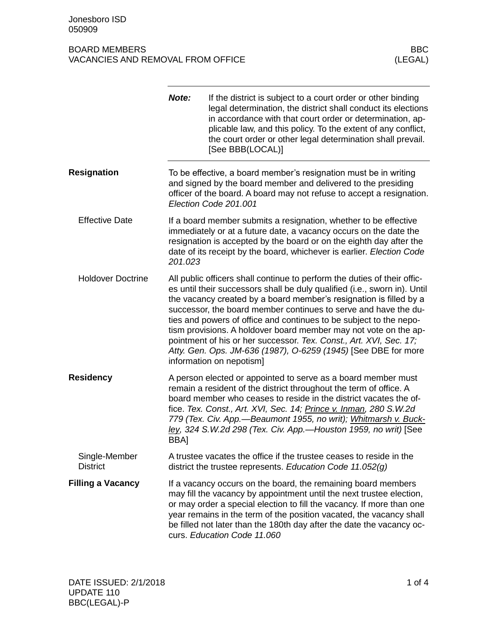## BOARD MEMBERS BOARD MEMBERS<br>VACANCIES AND REMOVAL FROM OFFICE VACANCIES (LEGAL) VACANCIES AND REMOVAL FROM OFFICE

|                                  | Note:                                                                                                                                                                                                                                                                                                                                                                                                                                                                                                                                                                                                        | If the district is subject to a court order or other binding<br>legal determination, the district shall conduct its elections<br>in accordance with that court order or determination, ap-<br>plicable law, and this policy. To the extent of any conflict,<br>the court order or other legal determination shall prevail.<br>[See BBB(LOCAL)]                                                |  |
|----------------------------------|--------------------------------------------------------------------------------------------------------------------------------------------------------------------------------------------------------------------------------------------------------------------------------------------------------------------------------------------------------------------------------------------------------------------------------------------------------------------------------------------------------------------------------------------------------------------------------------------------------------|-----------------------------------------------------------------------------------------------------------------------------------------------------------------------------------------------------------------------------------------------------------------------------------------------------------------------------------------------------------------------------------------------|--|
| <b>Resignation</b>               | To be effective, a board member's resignation must be in writing<br>and signed by the board member and delivered to the presiding<br>officer of the board. A board may not refuse to accept a resignation.<br>Election Code 201.001                                                                                                                                                                                                                                                                                                                                                                          |                                                                                                                                                                                                                                                                                                                                                                                               |  |
| <b>Effective Date</b>            | If a board member submits a resignation, whether to be effective<br>immediately or at a future date, a vacancy occurs on the date the<br>resignation is accepted by the board or on the eighth day after the<br>date of its receipt by the board, whichever is earlier. Election Code<br>201.023                                                                                                                                                                                                                                                                                                             |                                                                                                                                                                                                                                                                                                                                                                                               |  |
| <b>Holdover Doctrine</b>         | All public officers shall continue to perform the duties of their offic-<br>es until their successors shall be duly qualified (i.e., sworn in). Until<br>the vacancy created by a board member's resignation is filled by a<br>successor, the board member continues to serve and have the du-<br>ties and powers of office and continues to be subject to the nepo-<br>tism provisions. A holdover board member may not vote on the ap-<br>pointment of his or her successor. Tex. Const., Art. XVI, Sec. 17;<br>Atty. Gen. Ops. JM-636 (1987), O-6259 (1945) [See DBE for more<br>information on nepotism] |                                                                                                                                                                                                                                                                                                                                                                                               |  |
| <b>Residency</b>                 | A person elected or appointed to serve as a board member must<br>remain a resident of the district throughout the term of office. A<br>board member who ceases to reside in the district vacates the of-<br>fice. Tex. Const., Art. XVI, Sec. 14; Prince v. Inman, 280 S.W.2d<br>779 (Tex. Civ. App.-Beaumont 1955, no writ); Whitmarsh v. Buck-<br>ley, 324 S.W.2d 298 (Tex. Civ. App.-Houston 1959, no writ) [See<br>BBA]                                                                                                                                                                                  |                                                                                                                                                                                                                                                                                                                                                                                               |  |
| Single-Member<br><b>District</b> |                                                                                                                                                                                                                                                                                                                                                                                                                                                                                                                                                                                                              | A trustee vacates the office if the trustee ceases to reside in the<br>district the trustee represents. Education Code $11.052(g)$                                                                                                                                                                                                                                                            |  |
| <b>Filling a Vacancy</b>         |                                                                                                                                                                                                                                                                                                                                                                                                                                                                                                                                                                                                              | If a vacancy occurs on the board, the remaining board members<br>may fill the vacancy by appointment until the next trustee election,<br>or may order a special election to fill the vacancy. If more than one<br>year remains in the term of the position vacated, the vacancy shall<br>be filled not later than the 180th day after the date the vacancy oc-<br>curs. Education Code 11.060 |  |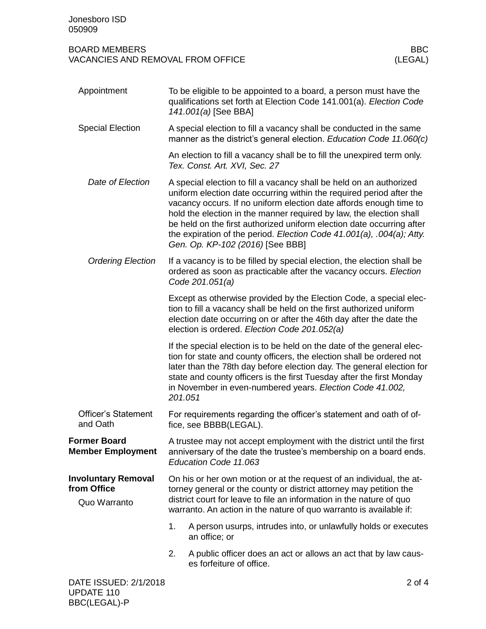## BOARD MEMBERS BOARD MEMBERS<br>VACANCIES AND REMOVAL FROM OFFICE VACANCIES (LEGAL) VACANCIES AND REMOVAL FROM OFFICE

| Appointment                                               | To be eligible to be appointed to a board, a person must have the<br>qualifications set forth at Election Code 141.001(a). Election Code<br>141.001(a) [See BBA]                                                                                                                                                                                                                                                                                                               |                                                                                                                                                                                                                                                                                                                                                                |  |
|-----------------------------------------------------------|--------------------------------------------------------------------------------------------------------------------------------------------------------------------------------------------------------------------------------------------------------------------------------------------------------------------------------------------------------------------------------------------------------------------------------------------------------------------------------|----------------------------------------------------------------------------------------------------------------------------------------------------------------------------------------------------------------------------------------------------------------------------------------------------------------------------------------------------------------|--|
| <b>Special Election</b>                                   | A special election to fill a vacancy shall be conducted in the same<br>manner as the district's general election. Education Code 11.060(c)                                                                                                                                                                                                                                                                                                                                     |                                                                                                                                                                                                                                                                                                                                                                |  |
|                                                           |                                                                                                                                                                                                                                                                                                                                                                                                                                                                                | An election to fill a vacancy shall be to fill the unexpired term only.<br>Tex. Const. Art. XVI, Sec. 27                                                                                                                                                                                                                                                       |  |
| Date of Election                                          | A special election to fill a vacancy shall be held on an authorized<br>uniform election date occurring within the required period after the<br>vacancy occurs. If no uniform election date affords enough time to<br>hold the election in the manner required by law, the election shall<br>be held on the first authorized uniform election date occurring after<br>the expiration of the period. Election Code 41.001(a), .004(a); Atty.<br>Gen. Op. KP-102 (2016) [See BBB] |                                                                                                                                                                                                                                                                                                                                                                |  |
| <b>Ordering Election</b>                                  | If a vacancy is to be filled by special election, the election shall be<br>ordered as soon as practicable after the vacancy occurs. Election<br>Code 201.051(a)                                                                                                                                                                                                                                                                                                                |                                                                                                                                                                                                                                                                                                                                                                |  |
|                                                           |                                                                                                                                                                                                                                                                                                                                                                                                                                                                                | Except as otherwise provided by the Election Code, a special elec-<br>tion to fill a vacancy shall be held on the first authorized uniform<br>election date occurring on or after the 46th day after the date the<br>election is ordered. Election Code 201.052(a)                                                                                             |  |
|                                                           | 201.051                                                                                                                                                                                                                                                                                                                                                                                                                                                                        | If the special election is to be held on the date of the general elec-<br>tion for state and county officers, the election shall be ordered not<br>later than the 78th day before election day. The general election for<br>state and county officers is the first Tuesday after the first Monday<br>in November in even-numbered years. Election Code 41.002, |  |
| <b>Officer's Statement</b><br>and Oath                    | For requirements regarding the officer's statement and oath of of-<br>fice, see BBBB(LEGAL).                                                                                                                                                                                                                                                                                                                                                                                   |                                                                                                                                                                                                                                                                                                                                                                |  |
| <b>Former Board</b><br><b>Member Employment</b>           | A trustee may not accept employment with the district until the first<br>anniversary of the date the trustee's membership on a board ends.<br>Education Code 11.063                                                                                                                                                                                                                                                                                                            |                                                                                                                                                                                                                                                                                                                                                                |  |
| <b>Involuntary Removal</b><br>from Office<br>Quo Warranto | On his or her own motion or at the request of an individual, the at-<br>torney general or the county or district attorney may petition the<br>district court for leave to file an information in the nature of quo<br>warranto. An action in the nature of quo warranto is available if:                                                                                                                                                                                       |                                                                                                                                                                                                                                                                                                                                                                |  |
|                                                           | 1.                                                                                                                                                                                                                                                                                                                                                                                                                                                                             | A person usurps, intrudes into, or unlawfully holds or executes<br>an office; or                                                                                                                                                                                                                                                                               |  |
|                                                           | 2.                                                                                                                                                                                                                                                                                                                                                                                                                                                                             | A public officer does an act or allows an act that by law caus-<br>es forfeiture of office.                                                                                                                                                                                                                                                                    |  |
| DATE ISSUED: 2/1/2018                                     |                                                                                                                                                                                                                                                                                                                                                                                                                                                                                | 2 of 4                                                                                                                                                                                                                                                                                                                                                         |  |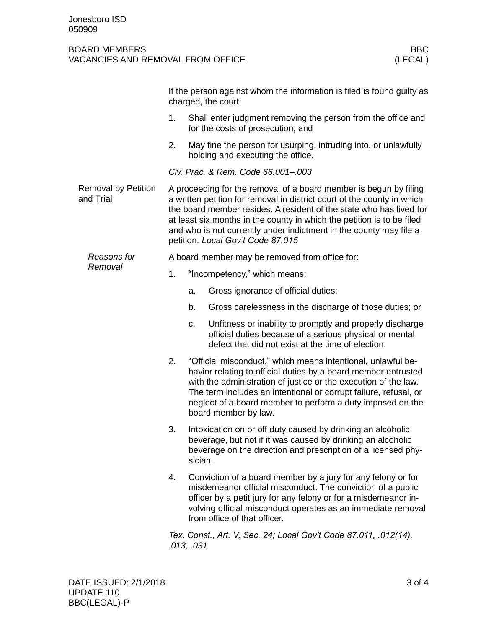## BOARD MEMBERS BOARD MEMBERS<br>VACANCIES AND REMOVAL FROM OFFICE VACANCIES (LEGAL) VACANCIES AND REMOVAL FROM OFFICE

|                                         | If the person against whom the information is filed is found guilty as<br>charged, the court:                                                                                                                                                                                                                                                                                                            |                                                                                                                                                                                                                                                                                                                                                             |  |
|-----------------------------------------|----------------------------------------------------------------------------------------------------------------------------------------------------------------------------------------------------------------------------------------------------------------------------------------------------------------------------------------------------------------------------------------------------------|-------------------------------------------------------------------------------------------------------------------------------------------------------------------------------------------------------------------------------------------------------------------------------------------------------------------------------------------------------------|--|
|                                         | 1.                                                                                                                                                                                                                                                                                                                                                                                                       | Shall enter judgment removing the person from the office and<br>for the costs of prosecution; and                                                                                                                                                                                                                                                           |  |
|                                         | 2.                                                                                                                                                                                                                                                                                                                                                                                                       | May fine the person for usurping, intruding into, or unlawfully<br>holding and executing the office.                                                                                                                                                                                                                                                        |  |
|                                         | Civ. Prac. & Rem. Code 66.001-.003                                                                                                                                                                                                                                                                                                                                                                       |                                                                                                                                                                                                                                                                                                                                                             |  |
| <b>Removal by Petition</b><br>and Trial | A proceeding for the removal of a board member is begun by filing<br>a written petition for removal in district court of the county in which<br>the board member resides. A resident of the state who has lived for<br>at least six months in the county in which the petition is to be filed<br>and who is not currently under indictment in the county may file a<br>petition. Local Gov't Code 87.015 |                                                                                                                                                                                                                                                                                                                                                             |  |
| Reasons for<br>Removal                  | A board member may be removed from office for:                                                                                                                                                                                                                                                                                                                                                           |                                                                                                                                                                                                                                                                                                                                                             |  |
|                                         | 1.                                                                                                                                                                                                                                                                                                                                                                                                       | "Incompetency," which means:                                                                                                                                                                                                                                                                                                                                |  |
|                                         |                                                                                                                                                                                                                                                                                                                                                                                                          | Gross ignorance of official duties;<br>a.                                                                                                                                                                                                                                                                                                                   |  |
|                                         |                                                                                                                                                                                                                                                                                                                                                                                                          | b.<br>Gross carelessness in the discharge of those duties; or                                                                                                                                                                                                                                                                                               |  |
|                                         |                                                                                                                                                                                                                                                                                                                                                                                                          | Unfitness or inability to promptly and properly discharge<br>C.<br>official duties because of a serious physical or mental<br>defect that did not exist at the time of election.                                                                                                                                                                            |  |
|                                         | 2.                                                                                                                                                                                                                                                                                                                                                                                                       | "Official misconduct," which means intentional, unlawful be-<br>havior relating to official duties by a board member entrusted<br>with the administration of justice or the execution of the law.<br>The term includes an intentional or corrupt failure, refusal, or<br>neglect of a board member to perform a duty imposed on the<br>board member by law. |  |
|                                         | 3.                                                                                                                                                                                                                                                                                                                                                                                                       | Intoxication on or off duty caused by drinking an alcoholic<br>beverage, but not if it was caused by drinking an alcoholic<br>beverage on the direction and prescription of a licensed phy-<br>sician.                                                                                                                                                      |  |
|                                         | 4.                                                                                                                                                                                                                                                                                                                                                                                                       | Conviction of a board member by a jury for any felony or for<br>misdemeanor official misconduct. The conviction of a public<br>officer by a petit jury for any felony or for a misdemeanor in-<br>volving official misconduct operates as an immediate removal<br>from office of that officer.                                                              |  |
|                                         |                                                                                                                                                                                                                                                                                                                                                                                                          | Tex. Const., Art. V, Sec. 24; Local Gov't Code 87.011, .012(14),<br>.013, .031                                                                                                                                                                                                                                                                              |  |